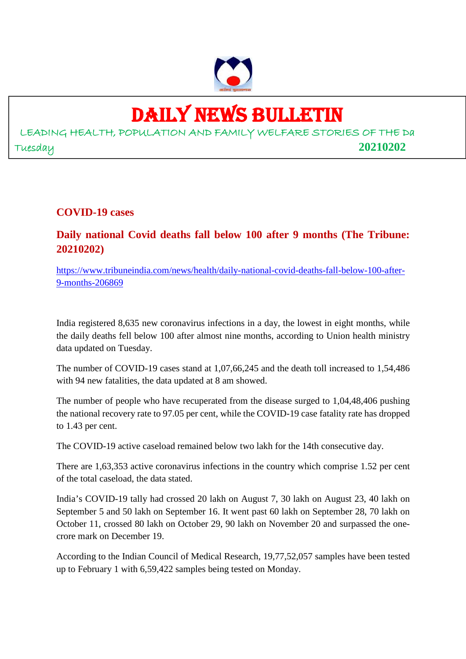

## DAILY NEWS BULLETIN

LEADING HEALTH, POPULATION AND FAMILY WELFARE STORIES OF THE Da Tuesday **20210202**

**COVID-19 cases**

**Daily national Covid deaths fall below 100 after 9 months (The Tribune: 20210202)**

https://www.tribuneindia.com/news/health/daily-national-covid-deaths-fall-below-100-after-9-months-206869

India registered 8,635 new coronavirus infections in a day, the lowest in eight months, while the daily deaths fell below 100 after almost nine months, according to Union health ministry data updated on Tuesday.

The number of COVID-19 cases stand at 1,07,66,245 and the death toll increased to 1,54,486 with 94 new fatalities, the data updated at 8 am showed.

The number of people who have recuperated from the disease surged to 1,04,48,406 pushing the national recovery rate to 97.05 per cent, while the COVID-19 case fatality rate has dropped to 1.43 per cent.

The COVID-19 active caseload remained below two lakh for the 14th consecutive day.

There are 1,63,353 active coronavirus infections in the country which comprise 1.52 per cent of the total caseload, the data stated.

India's COVID-19 tally had crossed 20 lakh on August 7, 30 lakh on August 23, 40 lakh on September 5 and 50 lakh on September 16. It went past 60 lakh on September 28, 70 lakh on October 11, crossed 80 lakh on October 29, 90 lakh on November 20 and surpassed the onecrore mark on December 19.

According to the Indian Council of Medical Research, 19,77,52,057 samples have been tested up to February 1 with 6,59,422 samples being tested on Monday.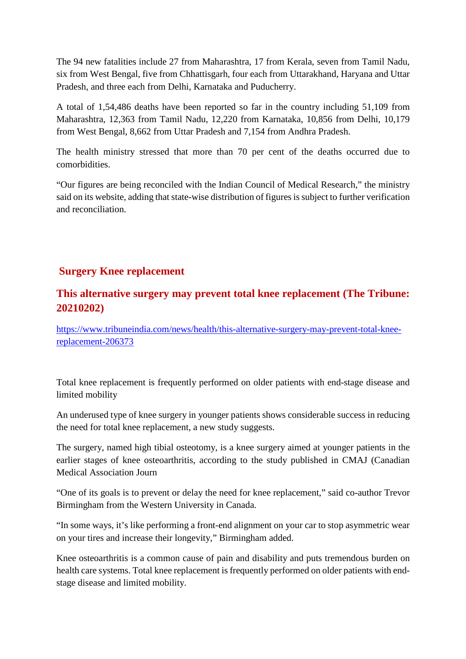The 94 new fatalities include 27 from Maharashtra, 17 from Kerala, seven from Tamil Nadu, six from West Bengal, five from Chhattisgarh, four each from Uttarakhand, Haryana and Uttar Pradesh, and three each from Delhi, Karnataka and Puducherry.

A total of 1,54,486 deaths have been reported so far in the country including 51,109 from Maharashtra, 12,363 from Tamil Nadu, 12,220 from Karnataka, 10,856 from Delhi, 10,179 from West Bengal, 8,662 from Uttar Pradesh and 7,154 from Andhra Pradesh.

The health ministry stressed that more than 70 per cent of the deaths occurred due to comorbidities.

"Our figures are being reconciled with the Indian Council of Medical Research," the ministry said on its website, adding that state-wise distribution of figures is subject to further verification and reconciliation.

#### **Surgery Knee replacement**

#### **This alternative surgery may prevent total knee replacement (The Tribune: 20210202)**

https://www.tribuneindia.com/news/health/this-alternative-surgery-may-prevent-total-kneereplacement-206373

Total knee replacement is frequently performed on older patients with end-stage disease and limited mobility

An underused type of knee surgery in younger patients shows considerable success in reducing the need for total knee replacement, a new study suggests.

The surgery, named high tibial osteotomy, is a knee surgery aimed at younger patients in the earlier stages of knee osteoarthritis, according to the study published in CMAJ (Canadian Medical Association Journ

"One of its goals is to prevent or delay the need for knee replacement," said co-author Trevor Birmingham from the Western University in Canada.

"In some ways, it's like performing a front-end alignment on your car to stop asymmetric wear on your tires and increase their longevity," Birmingham added.

Knee osteoarthritis is a common cause of pain and disability and puts tremendous burden on health care systems. Total knee replacement is frequently performed on older patients with endstage disease and limited mobility.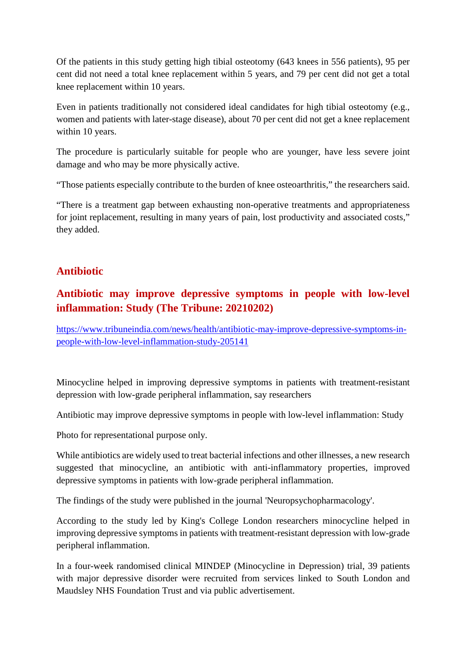Of the patients in this study getting high tibial osteotomy (643 knees in 556 patients), 95 per cent did not need a total knee replacement within 5 years, and 79 per cent did not get a total knee replacement within 10 years.

Even in patients traditionally not considered ideal candidates for high tibial osteotomy (e.g., women and patients with later-stage disease), about 70 per cent did not get a knee replacement within 10 years.

The procedure is particularly suitable for people who are younger, have less severe joint damage and who may be more physically active.

"Those patients especially contribute to the burden of knee osteoarthritis," the researchers said.

"There is a treatment gap between exhausting non-operative treatments and appropriateness for joint replacement, resulting in many years of pain, lost productivity and associated costs," they added.

#### **Antibiotic**

#### **Antibiotic may improve depressive symptoms in people with low-level inflammation: Study (The Tribune: 20210202)**

https://www.tribuneindia.com/news/health/antibiotic-may-improve-depressive-symptoms-inpeople-with-low-level-inflammation-study-205141

Minocycline helped in improving depressive symptoms in patients with treatment-resistant depression with low-grade peripheral inflammation, say researchers

Antibiotic may improve depressive symptoms in people with low-level inflammation: Study

Photo for representational purpose only.

While antibiotics are widely used to treat bacterial infections and other illnesses, a new research suggested that minocycline, an antibiotic with anti-inflammatory properties, improved depressive symptoms in patients with low-grade peripheral inflammation.

The findings of the study were published in the journal 'Neuropsychopharmacology'.

According to the study led by King's College London researchers minocycline helped in improving depressive symptoms in patients with treatment-resistant depression with low-grade peripheral inflammation.

In a four-week randomised clinical MINDEP (Minocycline in Depression) trial, 39 patients with major depressive disorder were recruited from services linked to South London and Maudsley NHS Foundation Trust and via public advertisement.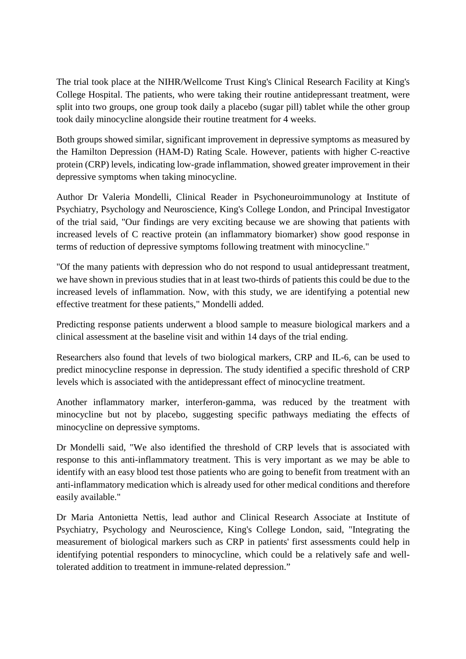The trial took place at the NIHR/Wellcome Trust King's Clinical Research Facility at King's College Hospital. The patients, who were taking their routine antidepressant treatment, were split into two groups, one group took daily a placebo (sugar pill) tablet while the other group took daily minocycline alongside their routine treatment for 4 weeks.

Both groups showed similar, significant improvement in depressive symptoms as measured by the Hamilton Depression (HAM-D) Rating Scale. However, patients with higher C-reactive protein (CRP) levels, indicating low-grade inflammation, showed greater improvement in their depressive symptoms when taking minocycline.

Author Dr Valeria Mondelli, Clinical Reader in Psychoneuroimmunology at Institute of Psychiatry, Psychology and Neuroscience, King's College London, and Principal Investigator of the trial said, "Our findings are very exciting because we are showing that patients with increased levels of C reactive protein (an inflammatory biomarker) show good response in terms of reduction of depressive symptoms following treatment with minocycline."

"Of the many patients with depression who do not respond to usual antidepressant treatment, we have shown in previous studies that in at least two-thirds of patients this could be due to the increased levels of inflammation. Now, with this study, we are identifying a potential new effective treatment for these patients," Mondelli added.

Predicting response patients underwent a blood sample to measure biological markers and a clinical assessment at the baseline visit and within 14 days of the trial ending.

Researchers also found that levels of two biological markers, CRP and IL-6, can be used to predict minocycline response in depression. The study identified a specific threshold of CRP levels which is associated with the antidepressant effect of minocycline treatment.

Another inflammatory marker, interferon-gamma, was reduced by the treatment with minocycline but not by placebo, suggesting specific pathways mediating the effects of minocycline on depressive symptoms.

Dr Mondelli said, "We also identified the threshold of CRP levels that is associated with response to this anti-inflammatory treatment. This is very important as we may be able to identify with an easy blood test those patients who are going to benefit from treatment with an anti-inflammatory medication which is already used for other medical conditions and therefore easily available."

Dr Maria Antonietta Nettis, lead author and Clinical Research Associate at Institute of Psychiatry, Psychology and Neuroscience, King's College London, said, "Integrating the measurement of biological markers such as CRP in patients' first assessments could help in identifying potential responders to minocycline, which could be a relatively safe and welltolerated addition to treatment in immune-related depression."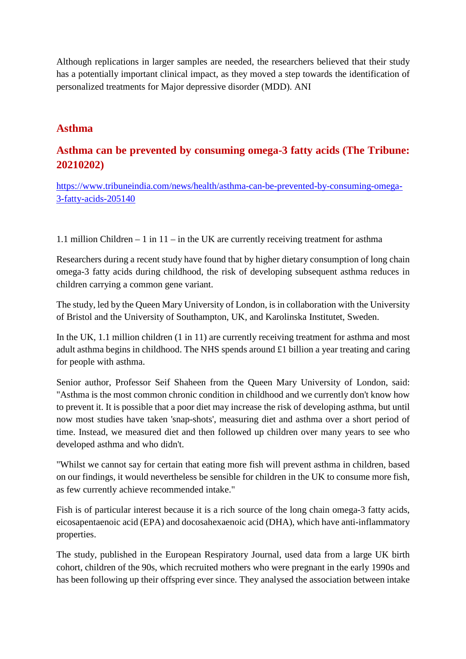Although replications in larger samples are needed, the researchers believed that their study has a potentially important clinical impact, as they moved a step towards the identification of personalized treatments for Major depressive disorder (MDD). ANI

#### **Asthma**

#### **Asthma can be prevented by consuming omega-3 fatty acids (The Tribune: 20210202)**

https://www.tribuneindia.com/news/health/asthma-can-be-prevented-by-consuming-omega-3-fatty-acids-205140

1.1 million Children – 1 in 11 – in the UK are currently receiving treatment for asthma

Researchers during a recent study have found that by higher dietary consumption of long chain omega-3 fatty acids during childhood, the risk of developing subsequent asthma reduces in children carrying a common gene variant.

The study, led by the Queen Mary University of London, is in collaboration with the University of Bristol and the University of Southampton, UK, and Karolinska Institutet, Sweden.

In the UK, 1.1 million children (1 in 11) are currently receiving treatment for asthma and most adult asthma begins in childhood. The NHS spends around £1 billion a year treating and caring for people with asthma.

Senior author, Professor Seif Shaheen from the Queen Mary University of London, said: "Asthma is the most common chronic condition in childhood and we currently don't know how to prevent it. It is possible that a poor diet may increase the risk of developing asthma, but until now most studies have taken 'snap-shots', measuring diet and asthma over a short period of time. Instead, we measured diet and then followed up children over many years to see who developed asthma and who didn't.

"Whilst we cannot say for certain that eating more fish will prevent asthma in children, based on our findings, it would nevertheless be sensible for children in the UK to consume more fish, as few currently achieve recommended intake."

Fish is of particular interest because it is a rich source of the long chain omega-3 fatty acids, eicosapentaenoic acid (EPA) and docosahexaenoic acid (DHA), which have anti-inflammatory properties.

The study, published in the European Respiratory Journal, used data from a large UK birth cohort, children of the 90s, which recruited mothers who were pregnant in the early 1990s and has been following up their offspring ever since. They analysed the association between intake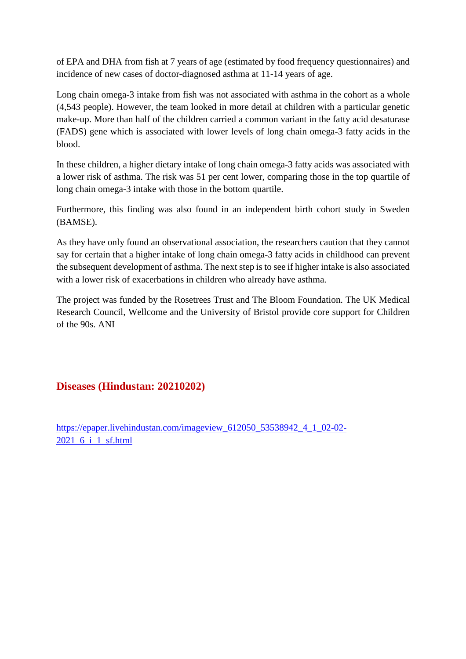of EPA and DHA from fish at 7 years of age (estimated by food frequency questionnaires) and incidence of new cases of doctor-diagnosed asthma at 11-14 years of age.

Long chain omega-3 intake from fish was not associated with asthma in the cohort as a whole (4,543 people). However, the team looked in more detail at children with a particular genetic make-up. More than half of the children carried a common variant in the fatty acid desaturase (FADS) gene which is associated with lower levels of long chain omega-3 fatty acids in the blood.

In these children, a higher dietary intake of long chain omega-3 fatty acids was associated with a lower risk of asthma. The risk was 51 per cent lower, comparing those in the top quartile of long chain omega-3 intake with those in the bottom quartile.

Furthermore, this finding was also found in an independent birth cohort study in Sweden (BAMSE).

As they have only found an observational association, the researchers caution that they cannot say for certain that a higher intake of long chain omega-3 fatty acids in childhood can prevent the subsequent development of asthma. The next step is to see if higher intake is also associated with a lower risk of exacerbations in children who already have asthma.

The project was funded by the Rosetrees Trust and The Bloom Foundation. The UK Medical Research Council, Wellcome and the University of Bristol provide core support for Children of the 90s. ANI

#### **Diseases (Hindustan: 20210202)**

https://epaper.livehindustan.com/imageview\_612050\_53538942\_4\_1\_02-02-2021\_6\_i\_1\_sf.html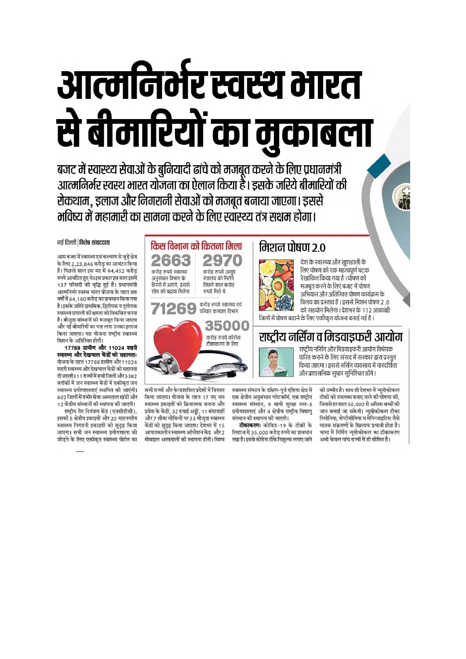# आत्मनिर्मर स्वस्थ मारत से बीमारियों का मुकाबला

बजट में स्वास्थ्य सेवाओं के बुनियादी ढांचे को मजबूत करने के लिए प्रधानमंत्री आत्मनिर्भर स्वस्थ भारत योजना का ऐलान किया है। इसके जरिये बीमारियों की रोकथाम, इलाज और निगरानी सेवाओं को मजबूत बनाया जाएगा। इससे भविष्य में महामारी का सामना करने के लिए स्वास्थ्य तंत्र सक्षम होगा।

#### नई दिल्ली तिशेष संवाददाता

आम बजट में स्वास्थ्य एवं कल्याण से जुड़े क्षेत्र के लिए 2,23,846 करोड़ का आवंटन किया .<br>है। पिछले साल इस मद में 94,452 करोड़ रुपये आवंटित हुए थे। इस प्रकार इस साल इसमें 137 फीसदी की वृद्धि हुई है। प्रधानमंत्री आत्मनिर्भर स्वस्थ भारत योजना के तहत छह वर्षों में 64,180 करोड़ का प्रावधान किया गया है। इसके जरिये प्राथमिक, द्वितीयक व ततीयक .<br>स्वास्थ्य प्रणाली की क्षमता को विकसित करना है। मौजूदा संस्थानों को मजबूत किया जाएगा और नई बीमारियों का पता लगा उनका इलाज किया जाएगा। यह योजना राष्ट्रीय स्वास्थ्य मिशन के अतिरिक्त होगी।

17788 ग्रामीण और 11024 शहरी स्वास्थ्य और देखभाल केंद्रों को सहायताः योजना के तहत 17788 ग्रामीण और 11024 शहरी स्वास्थ्य और देखभाल केंद्रों को सहायता दी जाएगी। 11 राज्यों में सभी जिलों और 3382 ब्लॉकों में जन स्वास्थ्य केंद्रों में एकीकत जन स्वास्थ्य प्रयोगशालाएं स्थापित की जाएंगी। 602 जिलों में गंभीर सेवा अस्पताल खंडों और 12 केंद्रीय संस्थानों की स्थापना की जाएगी।

राष्ट्रीय रोग नियंत्रण केंद्र (एनसीडीसी), इसकी 5 क्षेत्रीय इकाइयों और 20 महानगरीय स्वास्थ्य निगरानी इकाइयों को सुदूढ़ किया जाएगा। सभी जन स्वास्थ्य प्रयोगशाला को जोड़ने के लिए एकीकृत स्वास्थ्य पोर्टल का



सभी राज्यों और केन्द्रशासित प्रदेशों में विस्तार किया जाएगा। योजना के तहत 17 नए जन स्वास्थ्य इकाइयों को क्रियात्मक बनाना और प्रवेश के केंद्रों, 32 हवाई अड्डों, 11 बंदरगाहों और 7 सीमा चौकियों पर 33 मौजूदा स्वास्थ्य केंद्रों को सुदृढ़ किया जाएगा। देशभर में 15 आपातकालीन स्वास्थ्य ऑपरेशन केंद्र और 2 मोबाइल अस्पतालों की स्थापना होगी। विश्व

स्वास्थ्य संगठन के दक्षिण-पूर्व एशिया क्षेत्र में एक क्षेत्रीय अनुसंधान प्लेटफॉर्म, एक राष्ट्रीय स्वास्थ्य संस्थान, 9 बायो सुरक्षा स्तर-3 प्रयोगशालाएं और 4 क्षेत्रीय राष्ट्रीय विषाणु संस्थान की स्थापना की जाएगी।

टीकाकरणः कोविड-19 के टीकों के लिहाज से 35,000 करोड़ रुपये का प्रावधान रखा है। इससे कोरोना टीके निशुल्क लगाए जाने

की उम्मीद है। साथ ही देशभर में न्यूमोकोकल टीकों को उपलब्ध कराए जाने की घोषणा की. जिससे हर साल 50,000 से अधिक बच्चों की जान बचाई जा सकेगी। न्यूमोकोकल टीका निमोनिया. सेप्टीसीमिया व मेनिन्जाइटिस जैसे घातक संक्रमणों के खिलाफ प्रभावी होता है। भारत में निर्मित न्यूमोकोकल का टीकाकरण अभी केवल पांच राज्यों में ही सीमित है।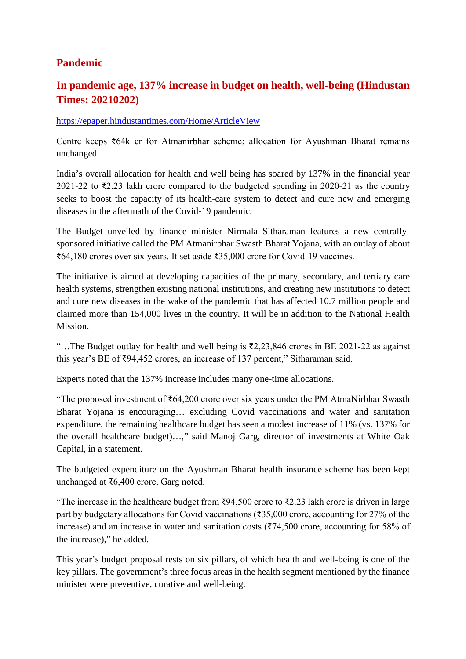#### **Pandemic**

### **In pandemic age, 137% increase in budget on health, well-being (Hindustan Times: 20210202)**

#### https://epaper.hindustantimes.com/Home/ArticleView

Centre keeps ₹64k cr for Atmanirbhar scheme; allocation for Ayushman Bharat remains unchanged

India's overall allocation for health and well being has soared by 137% in the financial year 2021-22 to  $\overline{z}$ , 23 lakh crore compared to the budgeted spending in 2020-21 as the country seeks to boost the capacity of its health-care system to detect and cure new and emerging diseases in the aftermath of the Covid-19 pandemic.

The Budget unveiled by finance minister Nirmala Sitharaman features a new centrallysponsored initiative called the PM Atmanirbhar Swasth Bharat Yojana, with an outlay of about ₹64,180 crores over six years. It set aside ₹35,000 crore for Covid-19 vaccines.

The initiative is aimed at developing capacities of the primary, secondary, and tertiary care health systems, strengthen existing national institutions, and creating new institutions to detect and cure new diseases in the wake of the pandemic that has affected 10.7 million people and claimed more than 154,000 lives in the country. It will be in addition to the National Health Mission.

"…The Budget outlay for health and well being is ₹2,23,846 crores in BE 2021-22 as against this year's BE of ₹94,452 crores, an increase of 137 percent," Sitharaman said.

Experts noted that the 137% increase includes many one-time allocations.

"The proposed investment of ₹64,200 crore over six years under the PM AtmaNirbhar Swasth Bharat Yojana is encouraging… excluding Covid vaccinations and water and sanitation expenditure, the remaining healthcare budget has seen a modest increase of 11% (vs. 137% for the overall healthcare budget)…," said Manoj Garg, director of investments at White Oak Capital, in a statement.

The budgeted expenditure on the Ayushman Bharat health insurance scheme has been kept unchanged at ₹6,400 crore, Garg noted.

"The increase in the healthcare budget from ₹94,500 crore to ₹2.23 lakh crore is driven in large part by budgetary allocations for Covid vaccinations (₹35,000 crore, accounting for 27% of the increase) and an increase in water and sanitation costs (₹74,500 crore, accounting for 58% of the increase)," he added.

This year's budget proposal rests on six pillars, of which health and well-being is one of the key pillars. The government's three focus areas in the health segment mentioned by the finance minister were preventive, curative and well-being.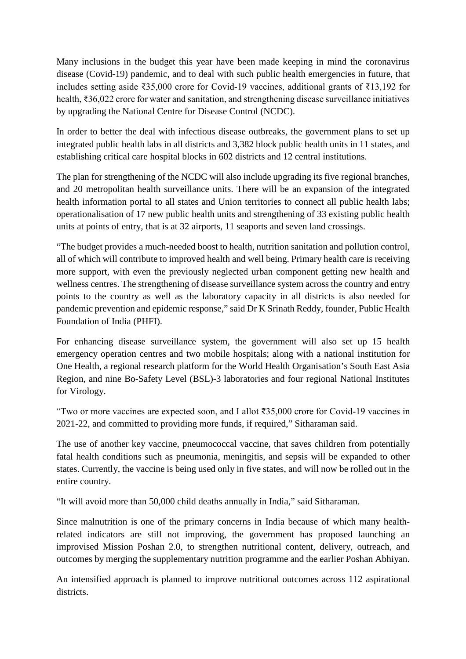Many inclusions in the budget this year have been made keeping in mind the coronavirus disease (Covid-19) pandemic, and to deal with such public health emergencies in future, that includes setting aside ₹35,000 crore for Covid-19 vaccines, additional grants of ₹13,192 for health, ₹36,022 crore for water and sanitation, and strengthening disease surveillance initiatives by upgrading the National Centre for Disease Control (NCDC).

In order to better the deal with infectious disease outbreaks, the government plans to set up integrated public health labs in all districts and 3,382 block public health units in 11 states, and establishing critical care hospital blocks in 602 districts and 12 central institutions.

The plan for strengthening of the NCDC will also include upgrading its five regional branches, and 20 metropolitan health surveillance units. There will be an expansion of the integrated health information portal to all states and Union territories to connect all public health labs; operationalisation of 17 new public health units and strengthening of 33 existing public health units at points of entry, that is at 32 airports, 11 seaports and seven land crossings.

"The budget provides a much-needed boost to health, nutrition sanitation and pollution control, all of which will contribute to improved health and well being. Primary health care is receiving more support, with even the previously neglected urban component getting new health and wellness centres. The strengthening of disease surveillance system across the country and entry points to the country as well as the laboratory capacity in all districts is also needed for pandemic prevention and epidemic response," said Dr K Srinath Reddy, founder, Public Health Foundation of India (PHFI).

For enhancing disease surveillance system, the government will also set up 15 health emergency operation centres and two mobile hospitals; along with a national institution for One Health, a regional research platform for the World Health Organisation's South East Asia Region, and nine Bo-Safety Level (BSL)-3 laboratories and four regional National Institutes for Virology.

"Two or more vaccines are expected soon, and I allot ₹35,000 crore for Covid-19 vaccines in 2021-22, and committed to providing more funds, if required," Sitharaman said.

The use of another key vaccine, pneumococcal vaccine, that saves children from potentially fatal health conditions such as pneumonia, meningitis, and sepsis will be expanded to other states. Currently, the vaccine is being used only in five states, and will now be rolled out in the entire country.

"It will avoid more than 50,000 child deaths annually in India," said Sitharaman.

Since malnutrition is one of the primary concerns in India because of which many healthrelated indicators are still not improving, the government has proposed launching an improvised Mission Poshan 2.0, to strengthen nutritional content, delivery, outreach, and outcomes by merging the supplementary nutrition programme and the earlier Poshan Abhiyan.

An intensified approach is planned to improve nutritional outcomes across 112 aspirational districts.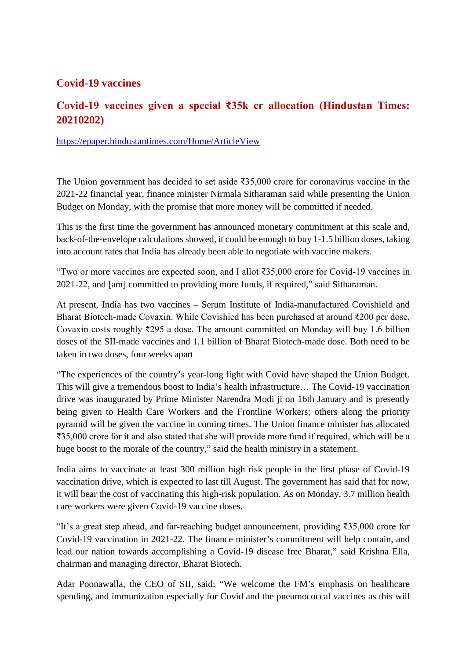#### **Covid-19 vaccines**

#### **Covid-19 vaccines given a special ₹35k cr allocation (Hindustan Times: 20210202)**

https://epaper.hindustantimes.com/Home/ArticleView

The Union government has decided to set aside ₹35,000 crore for coronavirus vaccine in the 2021-22 financial year, finance minister Nirmala Sitharaman said while presenting the Union Budget on Monday, with the promise that more money will be committed if needed.

This is the first time the government has announced monetary commitment at this scale and, back-of-the-envelope calculations showed, it could be enough to buy 1-1.5 billion doses, taking into account rates that India has already been able to negotiate with vaccine makers.

"Two or more vaccines are expected soon, and I allot ₹35,000 crore for Covid-19 vaccines in 2021-22, and [am] committed to providing more funds, if required," said Sitharaman.

At present, India has two vaccines – Serum Institute of India-manufactured Covishield and Bharat Biotech-made Covaxin. While Covishied has been purchased at around ₹200 per dose, Covaxin costs roughly ₹295 a dose. The amount committed on Monday will buy 1.6 billion doses of the SII-made vaccines and 1.1 billion of Bharat Biotech-made dose. Both need to be taken in two doses, four weeks apart

"The experiences of the country's year-long fight with Covid have shaped the Union Budget. This will give a tremendous boost to India's health infrastructure… The Covid-19 vaccination drive was inaugurated by Prime Minister Narendra Modi ji on 16th January and is presently being given to Health Care Workers and the Frontline Workers; others along the priority pyramid will be given the vaccine in coming times. The Union finance minister has allocated ₹35,000 crore for it and also stated that she will provide more fund if required, which will be a huge boost to the morale of the country," said the health ministry in a statement.

India aims to vaccinate at least 300 million high risk people in the first phase of Covid-19 vaccination drive, which is expected to last till August. The government has said that for now, it will bear the cost of vaccinating this high-risk population. As on Monday, 3.7 million health care workers were given Covid-19 vaccine doses.

"It's a great step ahead, and far-reaching budget announcement, providing ₹35,000 crore for Covid-19 vaccination in 2021-22. The finance minister's commitment will help contain, and lead our nation towards accomplishing a Covid-19 disease free Bharat," said Krishna Ella, chairman and managing director, Bharat Biotech.

Adar Poonawalla, the CEO of SII, said: "We welcome the FM's emphasis on healthcare spending, and immunization especially for Covid and the pneumococcal vaccines as this will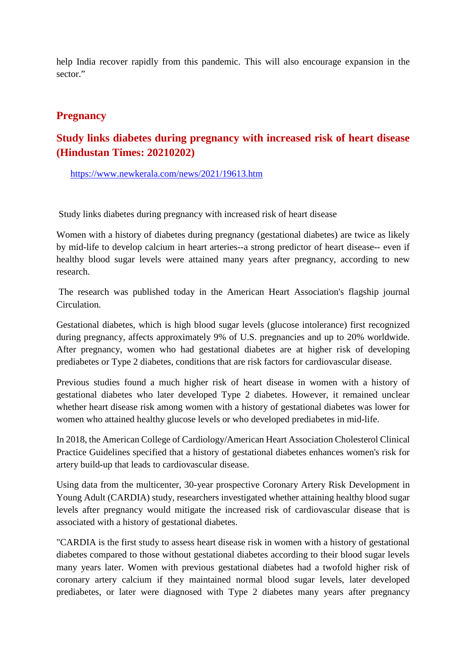help India recover rapidly from this pandemic. This will also encourage expansion in the sector."

#### **Pregnancy**

#### **Study links diabetes during pregnancy with increased risk of heart disease (Hindustan Times: 20210202)**

https://www.newkerala.com/news/2021/19613.htm

Study links diabetes during pregnancy with increased risk of heart disease

Women with a history of diabetes during pregnancy (gestational diabetes) are twice as likely by mid-life to develop calcium in heart arteries--a strong predictor of heart disease-- even if healthy blood sugar levels were attained many years after pregnancy, according to new research.

The research was published today in the American Heart Association's flagship journal Circulation.

Gestational diabetes, which is high blood sugar levels (glucose intolerance) first recognized during pregnancy, affects approximately 9% of U.S. pregnancies and up to 20% worldwide. After pregnancy, women who had gestational diabetes are at higher risk of developing prediabetes or Type 2 diabetes, conditions that are risk factors for cardiovascular disease.

Previous studies found a much higher risk of heart disease in women with a history of gestational diabetes who later developed Type 2 diabetes. However, it remained unclear whether heart disease risk among women with a history of gestational diabetes was lower for women who attained healthy glucose levels or who developed prediabetes in mid-life.

In 2018, the American College of Cardiology/American Heart Association Cholesterol Clinical Practice Guidelines specified that a history of gestational diabetes enhances women's risk for artery build-up that leads to cardiovascular disease.

Using data from the multicenter, 30-year prospective Coronary Artery Risk Development in Young Adult (CARDIA) study, researchers investigated whether attaining healthy blood sugar levels after pregnancy would mitigate the increased risk of cardiovascular disease that is associated with a history of gestational diabetes.

"CARDIA is the first study to assess heart disease risk in women with a history of gestational diabetes compared to those without gestational diabetes according to their blood sugar levels many years later. Women with previous gestational diabetes had a twofold higher risk of coronary artery calcium if they maintained normal blood sugar levels, later developed prediabetes, or later were diagnosed with Type 2 diabetes many years after pregnancy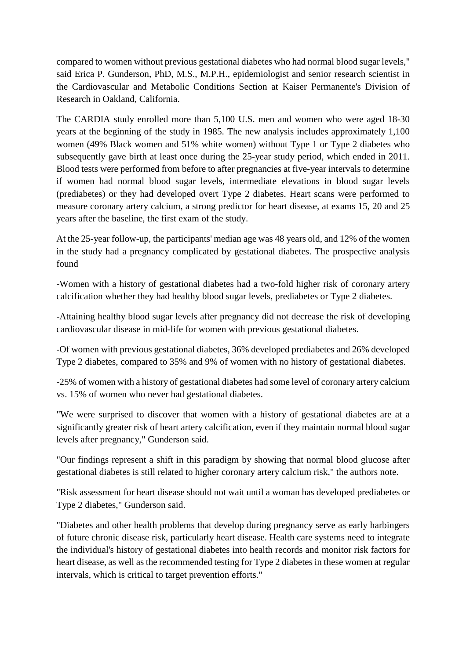compared to women without previous gestational diabetes who had normal blood sugar levels," said Erica P. Gunderson, PhD, M.S., M.P.H., epidemiologist and senior research scientist in the Cardiovascular and Metabolic Conditions Section at Kaiser Permanente's Division of Research in Oakland, California.

The CARDIA study enrolled more than 5,100 U.S. men and women who were aged 18-30 years at the beginning of the study in 1985. The new analysis includes approximately 1,100 women (49% Black women and 51% white women) without Type 1 or Type 2 diabetes who subsequently gave birth at least once during the 25-year study period, which ended in 2011. Blood tests were performed from before to after pregnancies at five-year intervals to determine if women had normal blood sugar levels, intermediate elevations in blood sugar levels (prediabetes) or they had developed overt Type 2 diabetes. Heart scans were performed to measure coronary artery calcium, a strong predictor for heart disease, at exams 15, 20 and 25 years after the baseline, the first exam of the study.

At the 25-year follow-up, the participants' median age was 48 years old, and 12% of the women in the study had a pregnancy complicated by gestational diabetes. The prospective analysis found

-Women with a history of gestational diabetes had a two-fold higher risk of coronary artery calcification whether they had healthy blood sugar levels, prediabetes or Type 2 diabetes.

-Attaining healthy blood sugar levels after pregnancy did not decrease the risk of developing cardiovascular disease in mid-life for women with previous gestational diabetes.

-Of women with previous gestational diabetes, 36% developed prediabetes and 26% developed Type 2 diabetes, compared to 35% and 9% of women with no history of gestational diabetes.

-25% of women with a history of gestational diabetes had some level of coronary artery calcium vs. 15% of women who never had gestational diabetes.

"We were surprised to discover that women with a history of gestational diabetes are at a significantly greater risk of heart artery calcification, even if they maintain normal blood sugar levels after pregnancy," Gunderson said.

"Our findings represent a shift in this paradigm by showing that normal blood glucose after gestational diabetes is still related to higher coronary artery calcium risk," the authors note.

"Risk assessment for heart disease should not wait until a woman has developed prediabetes or Type 2 diabetes," Gunderson said.

"Diabetes and other health problems that develop during pregnancy serve as early harbingers of future chronic disease risk, particularly heart disease. Health care systems need to integrate the individual's history of gestational diabetes into health records and monitor risk factors for heart disease, as well as the recommended testing for Type 2 diabetes in these women at regular intervals, which is critical to target prevention efforts."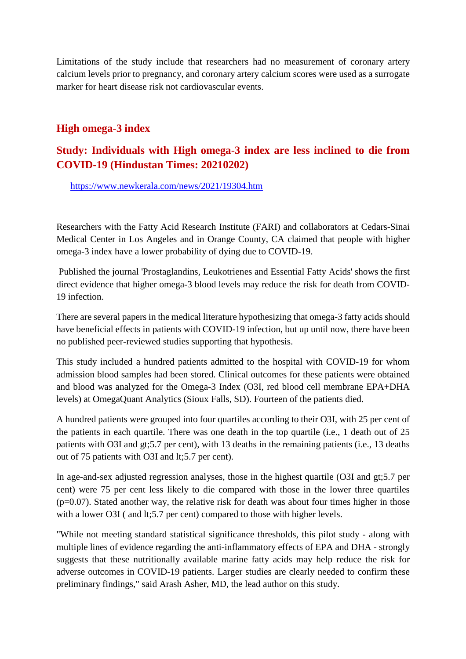Limitations of the study include that researchers had no measurement of coronary artery calcium levels prior to pregnancy, and coronary artery calcium scores were used as a surrogate marker for heart disease risk not cardiovascular events.

#### **High omega-3 index**

#### **Study: Individuals with High omega-3 index are less inclined to die from COVID-19 (Hindustan Times: 20210202)**

https://www.newkerala.com/news/2021/19304.htm

Researchers with the Fatty Acid Research Institute (FARI) and collaborators at Cedars-Sinai Medical Center in Los Angeles and in Orange County, CA claimed that people with higher omega-3 index have a lower probability of dying due to COVID-19.

Published the journal 'Prostaglandins, Leukotrienes and Essential Fatty Acids' shows the first direct evidence that higher omega-3 blood levels may reduce the risk for death from COVID-19 infection.

There are several papers in the medical literature hypothesizing that omega-3 fatty acids should have beneficial effects in patients with COVID-19 infection, but up until now, there have been no published peer-reviewed studies supporting that hypothesis.

This study included a hundred patients admitted to the hospital with COVID-19 for whom admission blood samples had been stored. Clinical outcomes for these patients were obtained and blood was analyzed for the Omega-3 Index (O3I, red blood cell membrane EPA+DHA levels) at OmegaQuant Analytics (Sioux Falls, SD). Fourteen of the patients died.

A hundred patients were grouped into four quartiles according to their O3I, with 25 per cent of the patients in each quartile. There was one death in the top quartile (i.e., 1 death out of 25 patients with O3I and gt;5.7 per cent), with 13 deaths in the remaining patients (i.e., 13 deaths out of 75 patients with O3I and lt;5.7 per cent).

In age-and-sex adjusted regression analyses, those in the highest quartile (O3I and gt;5.7 per cent) were 75 per cent less likely to die compared with those in the lower three quartiles  $(p=0.07)$ . Stated another way, the relative risk for death was about four times higher in those with a lower O3I ( and lt; 5.7 per cent) compared to those with higher levels.

"While not meeting standard statistical significance thresholds, this pilot study - along with multiple lines of evidence regarding the anti-inflammatory effects of EPA and DHA - strongly suggests that these nutritionally available marine fatty acids may help reduce the risk for adverse outcomes in COVID-19 patients. Larger studies are clearly needed to confirm these preliminary findings," said Arash Asher, MD, the lead author on this study.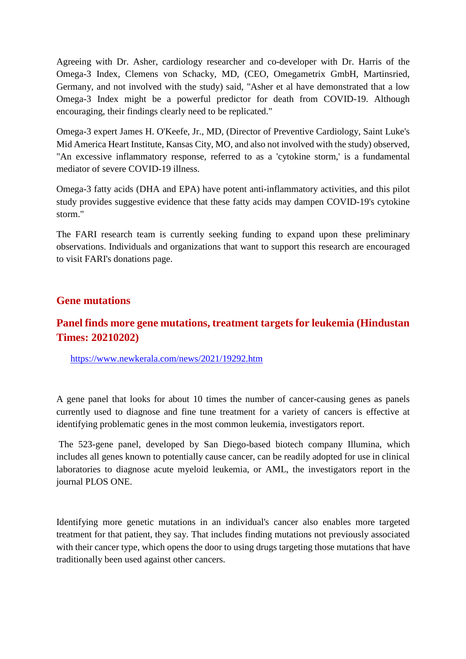Agreeing with Dr. Asher, cardiology researcher and co-developer with Dr. Harris of the Omega-3 Index, Clemens von Schacky, MD, (CEO, Omegametrix GmbH, Martinsried, Germany, and not involved with the study) said, "Asher et al have demonstrated that a low Omega-3 Index might be a powerful predictor for death from COVID-19. Although encouraging, their findings clearly need to be replicated."

Omega-3 expert James H. O'Keefe, Jr., MD, (Director of Preventive Cardiology, Saint Luke's Mid America Heart Institute, Kansas City, MO, and also not involved with the study) observed, "An excessive inflammatory response, referred to as a 'cytokine storm,' is a fundamental mediator of severe COVID-19 illness.

Omega-3 fatty acids (DHA and EPA) have potent anti-inflammatory activities, and this pilot study provides suggestive evidence that these fatty acids may dampen COVID-19's cytokine storm."

The FARI research team is currently seeking funding to expand upon these preliminary observations. Individuals and organizations that want to support this research are encouraged to visit FARI's donations page.

#### **Gene mutations**

#### **Panel finds more gene mutations, treatment targets for leukemia (Hindustan Times: 20210202)**

https://www.newkerala.com/news/2021/19292.htm

A gene panel that looks for about 10 times the number of cancer-causing genes as panels currently used to diagnose and fine tune treatment for a variety of cancers is effective at identifying problematic genes in the most common leukemia, investigators report.

The 523-gene panel, developed by San Diego-based biotech company Illumina, which includes all genes known to potentially cause cancer, can be readily adopted for use in clinical laboratories to diagnose acute myeloid leukemia, or AML, the investigators report in the journal PLOS ONE.

Identifying more genetic mutations in an individual's cancer also enables more targeted treatment for that patient, they say. That includes finding mutations not previously associated with their cancer type, which opens the door to using drugs targeting those mutations that have traditionally been used against other cancers.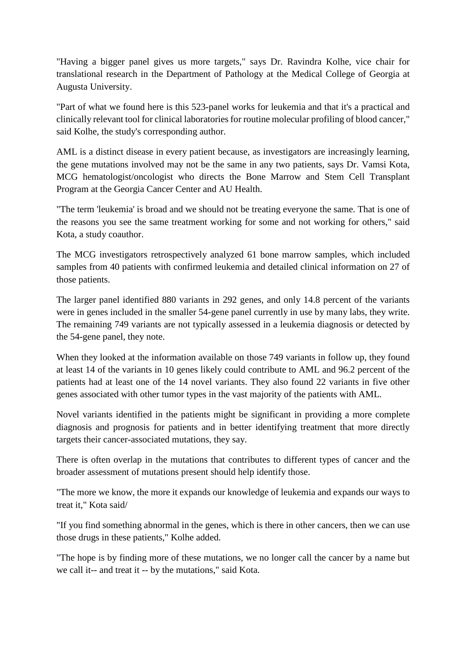"Having a bigger panel gives us more targets," says Dr. Ravindra Kolhe, vice chair for translational research in the Department of Pathology at the Medical College of Georgia at Augusta University.

"Part of what we found here is this 523-panel works for leukemia and that it's a practical and clinically relevant tool for clinical laboratories for routine molecular profiling of blood cancer," said Kolhe, the study's corresponding author.

AML is a distinct disease in every patient because, as investigators are increasingly learning, the gene mutations involved may not be the same in any two patients, says Dr. Vamsi Kota, MCG hematologist/oncologist who directs the Bone Marrow and Stem Cell Transplant Program at the Georgia Cancer Center and AU Health.

"The term 'leukemia' is broad and we should not be treating everyone the same. That is one of the reasons you see the same treatment working for some and not working for others," said Kota, a study coauthor.

The MCG investigators retrospectively analyzed 61 bone marrow samples, which included samples from 40 patients with confirmed leukemia and detailed clinical information on 27 of those patients.

The larger panel identified 880 variants in 292 genes, and only 14.8 percent of the variants were in genes included in the smaller 54-gene panel currently in use by many labs, they write. The remaining 749 variants are not typically assessed in a leukemia diagnosis or detected by the 54-gene panel, they note.

When they looked at the information available on those 749 variants in follow up, they found at least 14 of the variants in 10 genes likely could contribute to AML and 96.2 percent of the patients had at least one of the 14 novel variants. They also found 22 variants in five other genes associated with other tumor types in the vast majority of the patients with AML.

Novel variants identified in the patients might be significant in providing a more complete diagnosis and prognosis for patients and in better identifying treatment that more directly targets their cancer-associated mutations, they say.

There is often overlap in the mutations that contributes to different types of cancer and the broader assessment of mutations present should help identify those.

"The more we know, the more it expands our knowledge of leukemia and expands our ways to treat it," Kota said/

"If you find something abnormal in the genes, which is there in other cancers, then we can use those drugs in these patients," Kolhe added.

"The hope is by finding more of these mutations, we no longer call the cancer by a name but we call it-- and treat it -- by the mutations," said Kota.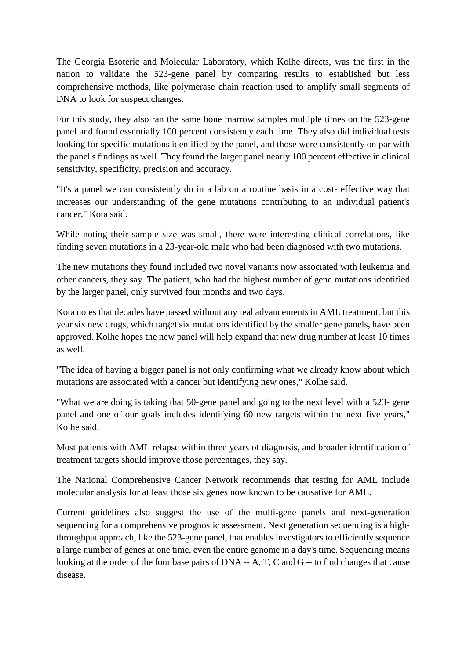The Georgia Esoteric and Molecular Laboratory, which Kolhe directs, was the first in the nation to validate the 523-gene panel by comparing results to established but less comprehensive methods, like polymerase chain reaction used to amplify small segments of DNA to look for suspect changes.

For this study, they also ran the same bone marrow samples multiple times on the 523-gene panel and found essentially 100 percent consistency each time. They also did individual tests looking for specific mutations identified by the panel, and those were consistently on par with the panel's findings as well. They found the larger panel nearly 100 percent effective in clinical sensitivity, specificity, precision and accuracy.

"It's a panel we can consistently do in a lab on a routine basis in a cost- effective way that increases our understanding of the gene mutations contributing to an individual patient's cancer," Kota said.

While noting their sample size was small, there were interesting clinical correlations, like finding seven mutations in a 23-year-old male who had been diagnosed with two mutations.

The new mutations they found included two novel variants now associated with leukemia and other cancers, they say. The patient, who had the highest number of gene mutations identified by the larger panel, only survived four months and two days.

Kota notes that decades have passed without any real advancements in AML treatment, but this year six new drugs, which target six mutations identified by the smaller gene panels, have been approved. Kolhe hopes the new panel will help expand that new drug number at least 10 times as well.

"The idea of having a bigger panel is not only confirming what we already know about which mutations are associated with a cancer but identifying new ones," Kolhe said.

"What we are doing is taking that 50-gene panel and going to the next level with a 523- gene panel and one of our goals includes identifying 60 new targets within the next five years," Kolhe said.

Most patients with AML relapse within three years of diagnosis, and broader identification of treatment targets should improve those percentages, they say.

The National Comprehensive Cancer Network recommends that testing for AML include molecular analysis for at least those six genes now known to be causative for AML.

Current guidelines also suggest the use of the multi-gene panels and next-generation sequencing for a comprehensive prognostic assessment. Next generation sequencing is a highthroughput approach, like the 523-gene panel, that enables investigators to efficiently sequence a large number of genes at one time, even the entire genome in a day's time. Sequencing means looking at the order of the four base pairs of DNA -- A, T, C and G -- to find changes that cause disease.